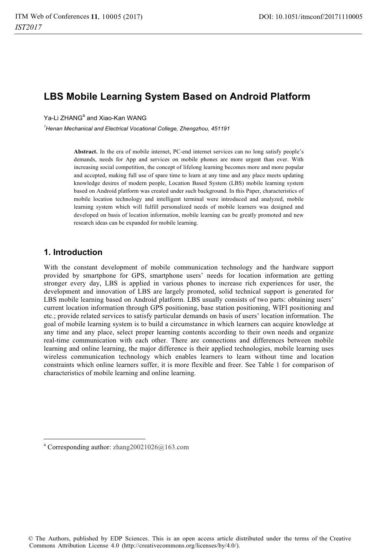# **LBS Mobile Learning System Based on Android Platform**

Ya-Li ZHANG<sup>a</sup> and Xiao-Kan WANG

*1 Henan Mechanical and Electrical Vocational College, Zhengzhou, 451191* 

**Abstract.** In the era of mobile internet, PC-end internet services can no long satisfy people's demands, needs for App and services on mobile phones are more urgent than ever. With increasing social competition, the concept of lifelong learning becomes more and more popular and accepted, making full use of spare time to learn at any time and any place meets updating knowledge desires of modern people, Location Based System (LBS) mobile learning system based on Android platform was created under such background. In this Paper, characteristics of mobile location technology and intelligent terminal were introduced and analyzed, mobile learning system which will fulfill personalized needs of mobile learners was designed and developed on basis of location information, mobile learning can be greatly promoted and new research ideas can be expanded for mobile learning.

## **1. Introduction**

l.

With the constant development of mobile communication technology and the hardware support provided by smartphone for GPS, smartphone users' needs for location information are getting stronger every day, LBS is applied in various phones to increase rich experiences for user, the development and innovation of LBS are largely promoted, solid technical support is generated for LBS mobile learning based on Android platform. LBS usually consists of two parts: obtaining users' current location information through GPS positioning, base station positioning, WIFI positioning and etc.; provide related services to satisfy particular demands on basis of users' location information. The goal of mobile learning system is to build a circumstance in which learners can acquire knowledge at any time and any place, select proper learning contents according to their own needs and organize real-time communication with each other. There are connections and differences between mobile learning and online learning, the major difference is their applied technologies, mobile learning uses wireless communication technology which enables learners to learn without time and location constraints which online learners suffer, it is more flexible and freer. See Table 1 for comparison of characteristics of mobile learning and online learning.

a Corresponding author: zhang20021026@163.com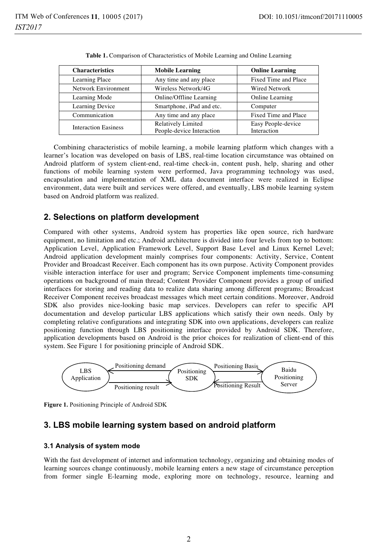| <b>Characteristics</b>      | <b>Mobile Learning</b>    | <b>Online Learning</b> |
|-----------------------------|---------------------------|------------------------|
| Learning Place              | Any time and any place    | Fixed Time and Place   |
| Network Environment         | Wireless Network/4G       | <b>Wired Network</b>   |
| Learning Mode               | Online/Offline Learning   | Online Learning        |
| Learning Device             | Smartphone, iPad and etc. | Computer               |
| Communication               | Any time and any place    | Fixed Time and Place   |
| <b>Interaction Easiness</b> | <b>Relatively Limited</b> | Easy People-device     |
|                             | People-device Interaction | Interaction            |

**Table 1.** Comparison of Characteristics of Mobile Learning and Online Learning

Combining characteristics of mobile learning, a mobile learning platform which changes with a learner's location was developed on basis of LBS, real-time location circumstance was obtained on Android platform of system client-end, real-time check-in, content push, help, sharing and other functions of mobile learning system were performed, Java programming technology was used, encapsulation and implementation of XML data document interface were realized in Eclipse environment, data were built and services were offered, and eventually, LBS mobile learning system based on Android platform was realized.

## **2. Selections on platform development**

Compared with other systems, Android system has properties like open source, rich hardware equipment, no limitation and etc.; Android architecture is divided into four levels from top to bottom: Application Level, Application Framework Level, Support Base Level and Linux Kernel Level; Android application development mainly comprises four components: Activity, Service, Content Provider and Broadcast Receiver. Each component has its own purpose. Activity Component provides visible interaction interface for user and program; Service Component implements time-consuming operations on background of main thread; Content Provider Component provides a group of unified interfaces for storing and reading data to realize data sharing among different programs; Broadcast Receiver Component receives broadcast messages which meet certain conditions. Moreover, Android SDK also provides nice-looking basic map services. Developers can refer to specific API documentation and develop particular LBS applications which satisfy their own needs. Only by completing relative configurations and integrating SDK into own applications, developers can realize positioning function through LBS positioning interface provided by Android SDK. Therefore, application developments based on Android is the prior choices for realization of client-end of this system. See Figure 1 for positioning principle of Android SDK.



**Figure 1.** Positioning Principle of Android SDK

## **3. LBS mobile learning system based on android platform**

### **3.1 Analysis of system mode**

With the fast development of internet and information technology, organizing and obtaining modes of learning sources change continuously, mobile learning enters a new stage of circumstance perception from former single E-learning mode, exploring more on technology, resource, learning and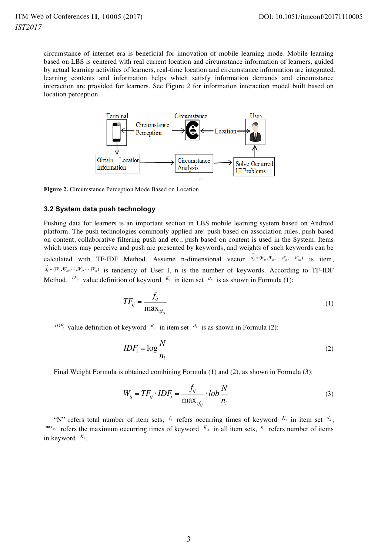circumstance of internet era is beneficial for innovation of mobile learning mode. Mobile learning based on LBS is centered with real current location and circumstance information of learners, guided by actual learning activities of learners, real-time location and circumstance information are integrated, learning contents and information helps which satisfy information demands and circumstance interaction are provided for learners. See Figure 2 for information interaction model built based on location perception.



**Figure 2.** Circumstance Perception Mode Based on Location

### **3.2 System data push technology**

Pushing data for learners is an important section in LBS mobile learning system based on Android platform. The push technologies commonly applied are: push based on association rules, push based on content, collaborative filtering push and etc., push based on content is used in the System. Items which users may perceive and push are presented by keywords, and weights of such keywords can be calculated with TF-IDF Method. Assume n-dimensional vector  $\vec{d}_k = (W_{1k}, W_{2k}, \dots, W_{ik}, \dots, W_{ik})$  is item,  $\vec{d}_i = (W_i, W_2, \dots, W_n, \dots, W_n)$  is tendency of User I, n is the number of keywords. According to TF-IDF Method,  $^{TF_{ij}}$  value definition of keyword  $^{K_i}$  in item set  $^{d_i}$  is as shown in Formula (1):

$$
TF_{ij} = \frac{f_{ij}}{\max_{\mathcal{J}_{ij}}} \tag{1}
$$

*IDF<sub>i</sub>* value definition of keyword  $K_i$  in item set  $d_i$  is as shown in Formula (2):

$$
IDF_i = \log \frac{N}{n_i} \tag{2}
$$

Final Weight Formula is obtained combining Formula (1) and (2), as shown in Formula (3):

$$
W_{ij} = TF_{ij} \cdot IDF_i = \frac{f_{ij}}{\max_{\mathcal{J}_{ij}}} \cdot lob \frac{N}{n_i}
$$
 (3)

"N" refers total number of item sets,  $f_{ij}$  refers occurring times of keyword  $K_i$  in item set  $d_k$ ,  $\int_{t}^{\text{max}} f(x, y) dx$  refers the maximum occurring times of keyword  $K_z$  in all item sets,  $n_i$  refers number of items in keyword  $K_i$ .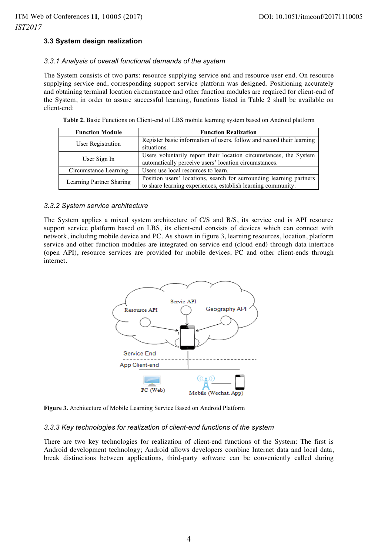### **3.3 System design realization**

#### *3.3.1 Analysis of overall functional demands of the system*

The System consists of two parts: resource supplying service end and resource user end. On resource supplying service end, corresponding support service platform was designed. Positioning accurately and obtaining terminal location circumstance and other function modules are required for client-end of the System, in order to assure successful learning, functions listed in Table 2 shall be available on client-end:

| Table 2. Basic Functions on Client-end of LBS mobile learning system based on Android platform |  |
|------------------------------------------------------------------------------------------------|--|
|------------------------------------------------------------------------------------------------|--|

| <b>Function Module</b>   | <b>Function Realization</b>                                           |  |
|--------------------------|-----------------------------------------------------------------------|--|
| User Registration        | Register basic information of users, follow and record their learning |  |
|                          | situations.                                                           |  |
| User Sign In             | Users voluntarily report their location circumstances, the System     |  |
|                          | automatically perceive users' location circumstances.                 |  |
| Circumstance Learning    | Users use local resources to learn.                                   |  |
| Learning Partner Sharing | Position users' locations, search for surrounding learning partners   |  |
|                          | to share learning experiences, establish learning community.          |  |

#### *3.3.2 System service architecture*

The System applies a mixed system architecture of C/S and B/S, its service end is API resource support service platform based on LBS, its client-end consists of devices which can connect with network, including mobile device and PC. As shown in figure 3, learning resources, location, platform service and other function modules are integrated on service end (cloud end) through data interface (open API), resource services are provided for mobile devices, PC and other client-ends through internet.



**Figure 3.** Architecture of Mobile Learning Service Based on Android Platform

#### *3.3.3 Key technologies for realization of client-end functions of the system*

There are two key technologies for realization of client-end functions of the System: The first is Android development technology; Android allows developers combine Internet data and local data, break distinctions between applications, third-party software can be conveniently called during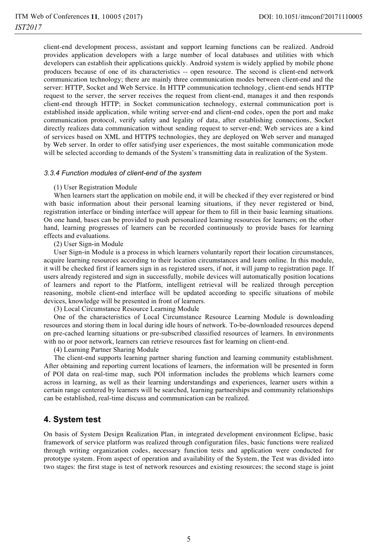client-end development process, assistant and support learning functions can be realized. Android provides application developers with a large number of local databases and utilities with which developers can establish their applications quickly. Android system is widely applied by mobile phone producers because of one of its characteristics -- open resource. The second is client-end network communication technology; there are mainly three communication modes between client-end and the server: HTTP, Socket and Web Service. In HTTP communication technology, client-end sends HTTP request to the server, the server receives the request from client-end, manages it and then responds client-end through HTTP; in Socket communication technology, external communication port is established inside application, while writing server-end and client-end codes, open the port and make communication protocol, verify safety and legality of data, after establishing connections, Socket directly realizes data communication without sending request to server-end; Web services are a kind of services based on XML and HTTPS technologies, they are deployed on Web server and managed by Web server. In order to offer satisfying user experiences, the most suitable communication mode will be selected according to demands of the System's transmitting data in realization of the System.

#### *3.3.4 Function modules of client-end of the system*

#### (1) User Registration Module

When learners start the application on mobile end, it will be checked if they ever registered or bind with basic information about their personal learning situations, if they never registered or bind, registration interface or binding interface will appear for them to fill in their basic learning situations. On one hand, bases can be provided to push personalized learning resources for learners; on the other hand, learning progresses of learners can be recorded continuously to provide bases for learning effects and evaluations.

(2) User Sign-in Module

User Sign-in Module is a process in which learners voluntarily report their location circumstances, acquire learning resources according to their location circumstances and learn online. In this module, it will be checked first if learners sign in as registered users, if not, it will jump to registration page. If users already registered and sign in successfully, mobile devices will automatically position locations of learners and report to the Platform, intelligent retrieval will be realized through perception reasoning, mobile client-end interface will be updated according to specific situations of mobile devices, knowledge will be presented in front of learners.

(3) Local Circumstance Resource Learning Module

One of the characteristics of Local Circumstance Resource Learning Module is downloading resources and storing them in local during idle hours of network. To-be-downloaded resources depend on pre-cached learning situations or pre-subscribed classified resources of learners. In environments with no or poor network, learners can retrieve resources fast for learning on client-end.

(4) Learning Partner Sharing Module

The client-end supports learning partner sharing function and learning community establishment. After obtaining and reporting current locations of learners, the information will be presented in form of POI data on real-time map, such POI information includes the problems which learners come across in learning, as well as their learning understandings and experiences, learner users within a certain range centered by learners will be searched, learning partnerships and community relationships can be established, real-time discuss and communication can be realized.

### **4. System test**

On basis of System Design Realization Plan, in integrated development environment Eclipse, basic framework of service platform was realized through configuration files, basic functions were realized through writing organization codes, necessary function tests and application were conducted for prototype system. From aspect of operation and availability of the System, the Test was divided into two stages: the first stage is test of network resources and existing resources; the second stage is joint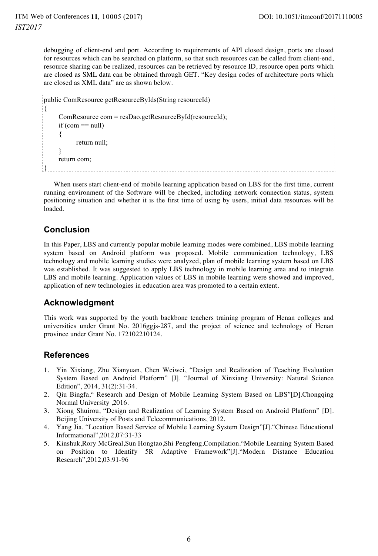debugging of client-end and port. According to requirements of API closed design, ports are closed for resources which can be searched on platform, so that such resources can be called from client-end, resource sharing can be realized, resources can be retrieved by resource ID, resource open ports which are closed as SML data can be obtained through GET. "Key design codes of architecture ports which are closed as XML data" are as shown below.

```
public ComResource getResourceByIds(String resourceId) 
{ 
     ComResource com = resDao.getResourceById(resourceId); 
     if (com == null){ 
           return null; 
     } 
     return com; 
}
```
When users start client-end of mobile learning application based on LBS for the first time, current running environment of the Software will be checked, including network connection status, system positioning situation and whether it is the first time of using by users, initial data resources will be loaded.

## **Conclusion**

In this Paper, LBS and currently popular mobile learning modes were combined, LBS mobile learning system based on Android platform was proposed. Mobile communication technology, LBS technology and mobile learning studies were analyzed, plan of mobile learning system based on LBS was established. It was suggested to apply LBS technology in mobile learning area and to integrate LBS and mobile learning. Application values of LBS in mobile learning were showed and improved, application of new technologies in education area was promoted to a certain extent.

### **Acknowledgment**

This work was supported by the youth backbone teachers training program of Henan colleges and universities under Grant No. 2016ggjs-287, and the project of science and technology of Henan province under Grant No. 172102210124.

## **References**

- 1. Yin Xixiang, Zhu Xianyuan, Chen Weiwei, "Design and Realization of Teaching Evaluation System Based on Android Platform" [J]. "Journal of Xinxiang University: Natural Science Edition", 2014, 31(2):31-34.
- 2. Qiu Bingfa," Research and Design of Mobile Learning System Based on LBS"[D].Chongqing Normal University ,2016.
- 3. Xiong Shuirou, "Design and Realization of Learning System Based on Android Platform" [D]. Beijing University of Posts and Telecommunications, 2012.
- 4. Yang Jia, "Location Based Service of Mobile Learning System Design"[J]."Chinese Educational Informational",2012,07:31-33
- 5. Kinshuk,Rory McGreal,Sun Hongtao,Shi Pengfeng,Compilation."Mobile Learning System Based on Position to Identify 5R Adaptive Framework"[J]."Modern Distance Education Research",2012,03:91-96